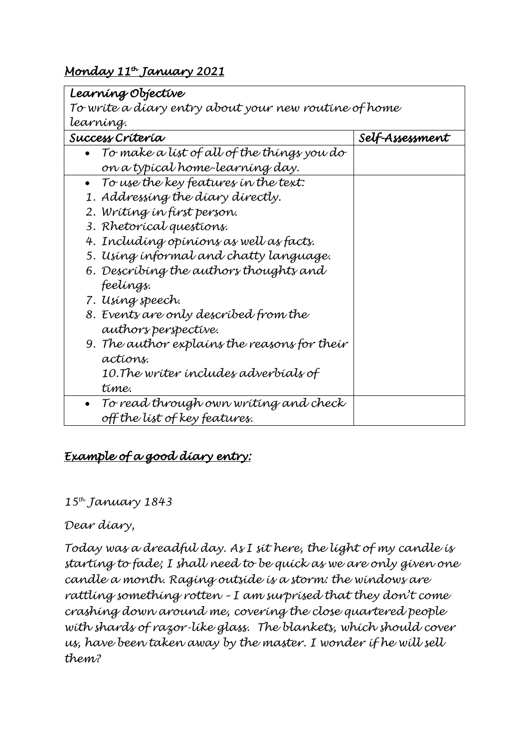## *Monday 11th January 2021*

| Learning Objective                                    |                 |
|-------------------------------------------------------|-----------------|
| To wríte a díary entry about your new routine of home |                 |
| learning.                                             |                 |
| Success Crítería                                      | Self-Assessment |
| To make a list of all of the things you do            |                 |
| on a typícal home-learníng day.                       |                 |
| To use the key features in the text:<br>$\bullet$     |                 |
| 1. Addressing the diary directly.                     |                 |
| 2. Wríting ín fírst þerson.                           |                 |
| 3. Rhetorical questions.                              |                 |
| 4. Including opinions as well as facts.               |                 |
| 5. Using informal and chatty language.                |                 |
| 6. Descríbing the authors thoughts and                |                 |
| feelings.                                             |                 |
| 7. Using speech.                                      |                 |
| 8. Events are only described from the                 |                 |
| authors perspective.                                  |                 |
| 9. The author explains the reasons for their          |                 |
| actions.                                              |                 |
| 10.The writer includes adverbials of                  |                 |
| time.                                                 |                 |
| To read through own writing and check                 |                 |
| off the list of key features.                         |                 |

## *Example of a good diary entry:*

## *15th January 1843*

## *Dear diary,*

*Today was a dreadful day. As I sit here, the light of my candle is starting to fade; I shall need to be quick as we are only given one candle a month. Raging outside is a storm: the windows are rattling something rotten – I am surprised that they don't come crashing down around me, covering the close quartered people with shards of razor-like glass. The blankets, which should cover us, have been taken away by the master. I wonder if he will sell them?*